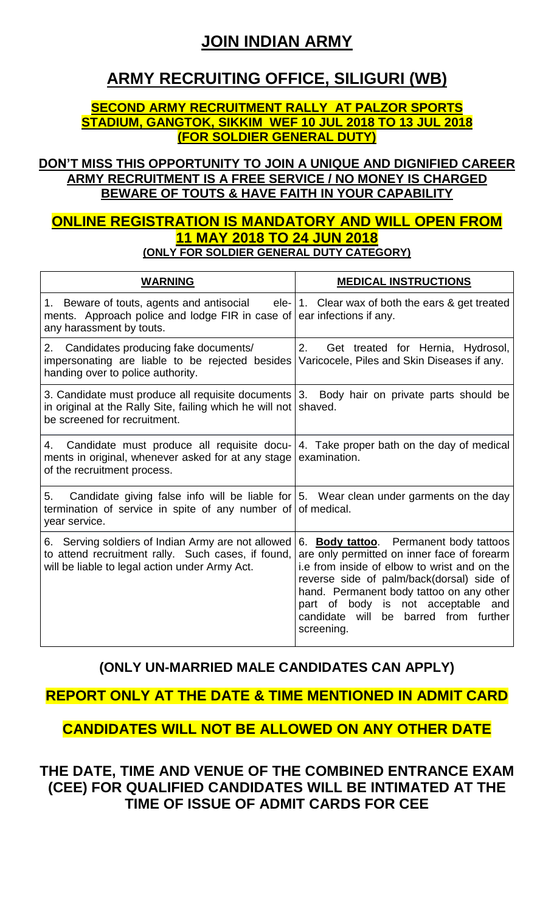# **JOIN INDIAN ARMY**

# **ARMY RECRUITING OFFICE, SILIGURI (WB)**

## **SECOND ARMY RECRUITMENT RALLY AT PALZOR SPORTS STADIUM, GANGTOK, SIKKIM WEF 10 JUL 2018 TO 13 JUL 2018 (FOR SOLDIER GENERAL DUTY)**

## **DON'T MISS THIS OPPORTUNITY TO JOIN A UNIQUE AND DIGNIFIED CAREER ARMY RECRUITMENT IS A FREE SERVICE / NO MONEY IS CHARGED BEWARE OF TOUTS & HAVE FAITH IN YOUR CAPABILITY**

## **ONLINE REGISTRATION IS MANDATORY AND WILL OPEN FROM 11 MAY 2018 TO 24 JUN 2018 (ONLY FOR SOLDIER GENERAL DUTY CATEGORY)**

| <b>WARNING</b>                                                                                                                                                                                   | <b>MEDICAL INSTRUCTIONS</b>                                                                                                                                                                                                                                                                                                       |
|--------------------------------------------------------------------------------------------------------------------------------------------------------------------------------------------------|-----------------------------------------------------------------------------------------------------------------------------------------------------------------------------------------------------------------------------------------------------------------------------------------------------------------------------------|
| 1. Beware of touts, agents and antisocial ele- 1. Clear wax of both the ears & get treated<br>ments. Approach police and lodge FIR in case of ear infections if any.<br>any harassment by touts. |                                                                                                                                                                                                                                                                                                                                   |
| 2. Candidates producing fake documents/<br>impersonating are liable to be rejected besides<br>handing over to police authority.                                                                  | 2.<br>Get treated for Hernia, Hydrosol,<br>Varicocele, Piles and Skin Diseases if any.                                                                                                                                                                                                                                            |
| 3. Candidate must produce all requisite documents<br>in original at the Rally Site, failing which he will not<br>be screened for recruitment.                                                    | 3. Body hair on private parts should be<br>shaved.                                                                                                                                                                                                                                                                                |
| 4. Candidate must produce all requisite docu- 4. Take proper bath on the day of medical<br>ments in original, whenever asked for at any stage<br>of the recruitment process.                     | examination.                                                                                                                                                                                                                                                                                                                      |
| Candidate giving false info will be liable for   5. Wear clean under garments on the day<br>5.<br>termination of service in spite of any number of<br>year service.                              | of medical.                                                                                                                                                                                                                                                                                                                       |
| 6. Serving soldiers of Indian Army are not allowed<br>to attend recruitment rally. Such cases, if found,<br>will be liable to legal action under Army Act.                                       | 6. Body tattoo. Permanent body tattoos<br>are only permitted on inner face of forearm<br>i.e from inside of elbow to wrist and on the<br>reverse side of palm/back(dorsal) side of<br>hand. Permanent body tattoo on any other<br>part of body is not acceptable and<br>be barred from further<br>candidate<br>will<br>screening. |

# **(ONLY UN-MARRIED MALE CANDIDATES CAN APPLY)**

# **REPORT ONLY AT THE DATE & TIME MENTIONED IN ADMIT CARD**

# **CANDIDATES WILL NOT BE ALLOWED ON ANY OTHER DATE**

**THE DATE, TIME AND VENUE OF THE COMBINED ENTRANCE EXAM (CEE) FOR QUALIFIED CANDIDATES WILL BE INTIMATED AT THE TIME OF ISSUE OF ADMIT CARDS FOR CEE**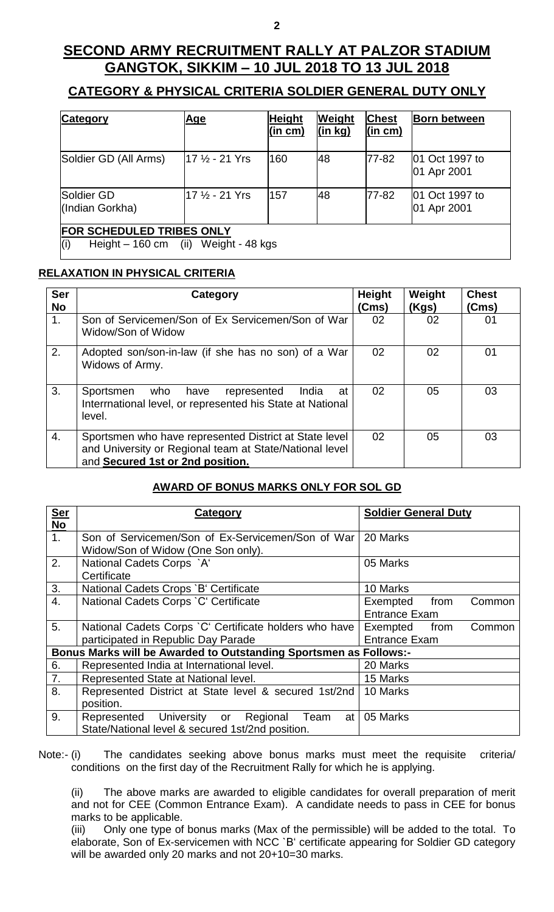# **SECOND ARMY RECRUITMENT RALLY AT PALZOR STADIUM GANGTOK, SIKKIM – 10 JUL 2018 TO 13 JUL 2018**

## **CATEGORY & PHYSICAL CRITERIA SOLDIER GENERAL DUTY ONLY**

| <b>Category</b>                                                          | <u>Age</u>     | <b>Height</b><br>(in cm) | Weight<br>(in kg) | <b>Chest</b><br>(in cm) | <b>Born between</b>           |
|--------------------------------------------------------------------------|----------------|--------------------------|-------------------|-------------------------|-------------------------------|
| Soldier GD (All Arms)                                                    | 17 ½ - 21 Yrs  | 160                      | 48                | 77-82                   | 01 Oct 1997 to<br>01 Apr 2001 |
| Soldier GD<br>(Indian Gorkha)                                            | l17 ½ - 21 Yrs | 157                      | 48                | 77-82                   | 01 Oct 1997 to<br>01 Apr 2001 |
| FOR SCHEDULED TRIBES ONLY<br>Height - 160 cm (ii) Weight - 48 kgs<br>(i) |                |                          |                   |                         |                               |

### **RELAXATION IN PHYSICAL CRITERIA**

| <b>Ser</b><br><b>No</b> | Category                                                                                                                                              | <b>Height</b><br>(Cms) | Weight<br>(Kgs) | <b>Chest</b><br>(Cms) |
|-------------------------|-------------------------------------------------------------------------------------------------------------------------------------------------------|------------------------|-----------------|-----------------------|
| 1.                      | Son of Servicemen/Son of Ex Servicemen/Son of War<br>Widow/Son of Widow                                                                               | 02                     | 02              | 01                    |
| 2.                      | Adopted son/son-in-law (if she has no son) of a War<br>Widows of Army.                                                                                | 02                     | 02              | 01                    |
| 3.                      | Sportsmen<br>who have<br>represented<br>India<br>at<br>Interrnational level, or represented his State at National<br>level.                           | 02                     | 05              | 03                    |
| 4.                      | Sportsmen who have represented District at State level<br>and University or Regional team at State/National level<br>and Secured 1st or 2nd position. | 02                     | 05              | 03                    |

#### **AWARD OF BONUS MARKS ONLY FOR SOL GD**

| <b>Ser</b>     | Category                                                          | <b>Soldier General Duty</b> |  |  |  |
|----------------|-------------------------------------------------------------------|-----------------------------|--|--|--|
| <b>No</b>      |                                                                   |                             |  |  |  |
| 1 <sub>1</sub> | Son of Servicemen/Son of Ex-Servicemen/Son of War                 | 20 Marks                    |  |  |  |
|                | Widow/Son of Widow (One Son only).                                |                             |  |  |  |
| 2.             | National Cadets Corps `A'                                         | 05 Marks                    |  |  |  |
|                | Certificate                                                       |                             |  |  |  |
| 3.             | National Cadets Crops `B' Certificate                             | 10 Marks                    |  |  |  |
| 4.             | National Cadets Corps `C' Certificate                             | Exempted<br>from<br>Common  |  |  |  |
|                |                                                                   | <b>Entrance Exam</b>        |  |  |  |
| 5.             | National Cadets Corps 'C' Certificate holders who have            | Exempted<br>from<br>Common  |  |  |  |
|                | participated in Republic Day Parade                               | <b>Entrance Exam</b>        |  |  |  |
|                | Bonus Marks will be Awarded to Outstanding Sportsmen as Follows:- |                             |  |  |  |
| 6.             | Represented India at International level.                         | 20 Marks                    |  |  |  |
| 7.             | Represented State at National level.                              | 15 Marks                    |  |  |  |
| 8.             | Represented District at State level & secured 1st/2nd             | 10 Marks                    |  |  |  |
|                | position.                                                         |                             |  |  |  |
| 9.             | Represented University or Regional<br>Team<br>at                  | 05 Marks                    |  |  |  |
|                | State/National level & secured 1st/2nd position.                  |                             |  |  |  |

Note:- (i) The candidates seeking above bonus marks must meet the requisite criteria/ conditions on the first day of the Recruitment Rally for which he is applying.

(ii) The above marks are awarded to eligible candidates for overall preparation of merit and not for CEE (Common Entrance Exam). A candidate needs to pass in CEE for bonus marks to be applicable.

(iii) Only one type of bonus marks (Max of the permissible) will be added to the total. To elaborate, Son of Ex-servicemen with NCC `B' certificate appearing for Soldier GD category will be awarded only 20 marks and not 20+10=30 marks.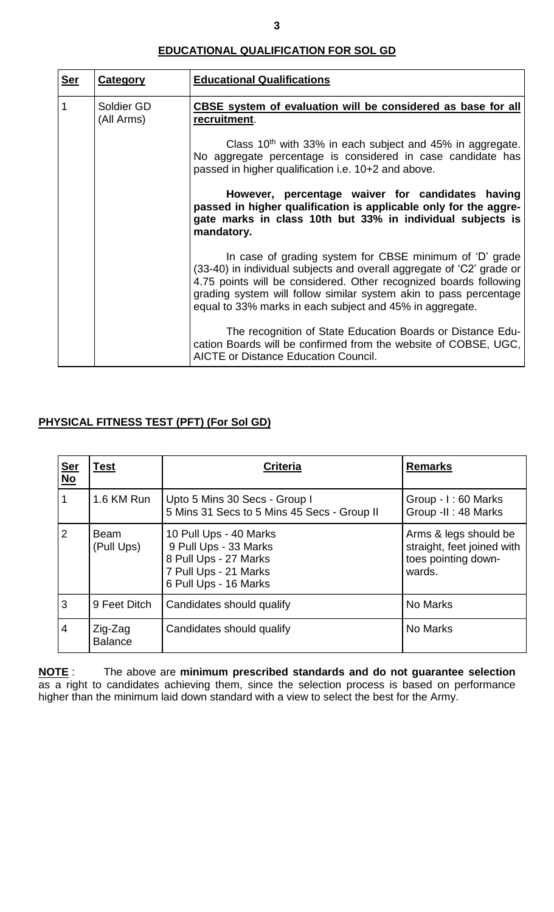#### **EDUCATIONAL QUALIFICATION FOR SOL GD**

| <u>Ser</u> | <b>Category</b>          | <b>Educational Qualifications</b>                                                                                                                                                                                                                                                                                                      |  |  |
|------------|--------------------------|----------------------------------------------------------------------------------------------------------------------------------------------------------------------------------------------------------------------------------------------------------------------------------------------------------------------------------------|--|--|
| 1          | Soldier GD<br>(All Arms) | CBSE system of evaluation will be considered as base for all<br>recruitment.                                                                                                                                                                                                                                                           |  |  |
|            |                          | Class $10th$ with 33% in each subject and 45% in aggregate.<br>No aggregate percentage is considered in case candidate has<br>passed in higher qualification i.e. 10+2 and above.                                                                                                                                                      |  |  |
|            |                          | However, percentage waiver for candidates having<br>passed in higher qualification is applicable only for the aggre-<br>gate marks in class 10th but 33% in individual subjects is<br>mandatory.                                                                                                                                       |  |  |
|            |                          | In case of grading system for CBSE minimum of 'D' grade<br>(33-40) in individual subjects and overall aggregate of 'C2' grade or<br>4.75 points will be considered. Other recognized boards following<br>grading system will follow similar system akin to pass percentage<br>equal to 33% marks in each subject and 45% in aggregate. |  |  |
|            |                          | The recognition of State Education Boards or Distance Edu-<br>cation Boards will be confirmed from the website of COBSE, UGC,<br><b>AICTE or Distance Education Council.</b>                                                                                                                                                           |  |  |

### **PHYSICAL FITNESS TEST (PFT) (For Sol GD)**

| <u>Ser</u><br>$\underline{\mathsf{No}}$ | <b>Test</b>               | <b>Criteria</b>                                                                                                            | <b>Remarks</b>                                                                       |
|-----------------------------------------|---------------------------|----------------------------------------------------------------------------------------------------------------------------|--------------------------------------------------------------------------------------|
| 1                                       | 1.6 KM Run                | Upto 5 Mins 30 Secs - Group I<br>5 Mins 31 Secs to 5 Mins 45 Secs - Group II                                               | Group - I: 60 Marks<br>Group -II: 48 Marks                                           |
| $\overline{2}$                          | <b>Beam</b><br>(Pull Ups) | 10 Pull Ups - 40 Marks<br>9 Pull Ups - 33 Marks<br>8 Pull Ups - 27 Marks<br>7 Pull Ups - 21 Marks<br>6 Pull Ups - 16 Marks | Arms & legs should be<br>straight, feet joined with<br>toes pointing down-<br>wards. |
| 3                                       | 9 Feet Ditch              | Candidates should qualify                                                                                                  | No Marks                                                                             |
| $\overline{4}$                          | Zig-Zag<br><b>Balance</b> | Candidates should qualify                                                                                                  | No Marks                                                                             |

**NOTE** : The above are **minimum prescribed standards and do not guarantee selection** as a right to candidates achieving them, since the selection process is based on performance higher than the minimum laid down standard with a view to select the best for the Army.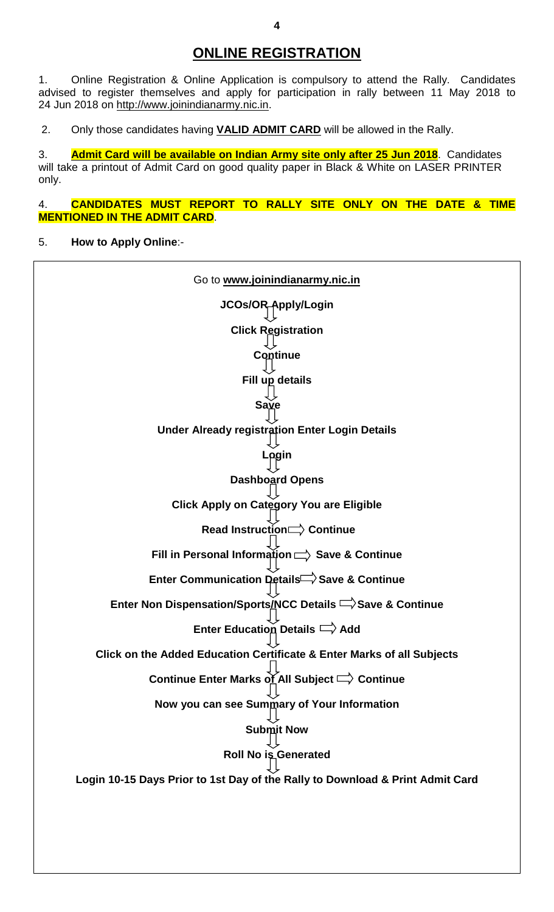## **ONLINE REGISTRATION**

1. Online Registration & Online Application is compulsory to attend the Rally. Candidates advised to register themselves and apply for participation in rally between 11 May 2018 to 24 Jun 2018 on [http://www.joinindianarmy.nic.in.](http://www.joinindianarmy.nic.in/)

2. Only those candidates having **VALID ADMIT CARD** will be allowed in the Rally.

3. **Admit Card will be available on Indian Army site only after 25 Jun 2018**. Candidates will take a printout of Admit Card on good quality paper in Black & White on LASER PRINTER only.

4. **CANDIDATES MUST REPORT TO RALLY SITE ONLY ON THE DATE & TIME MENTIONED IN THE ADMIT CARD**.

5. **How to Apply Online**:-

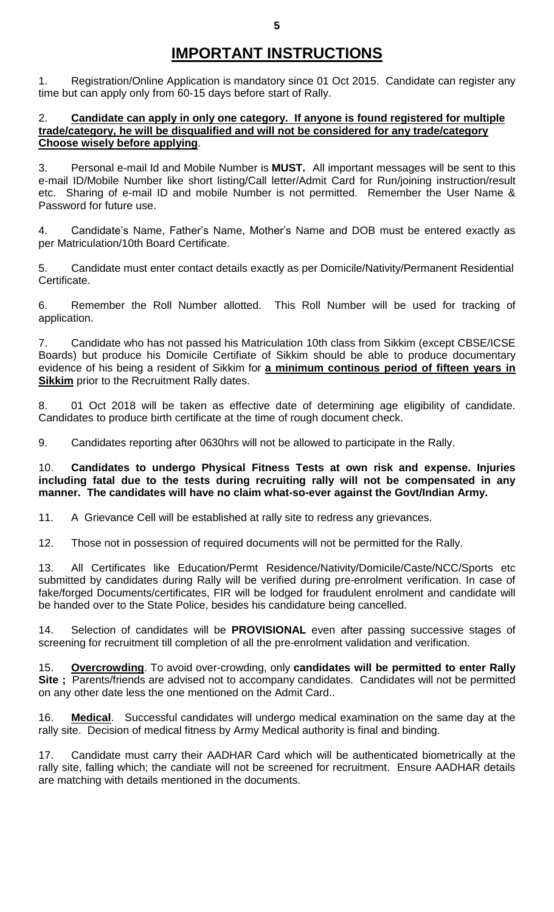# **IMPORTANT INSTRUCTIONS**

1. Registration/Online Application is mandatory since 01 Oct 2015. Candidate can register any time but can apply only from 60-15 days before start of Rally.

#### 2. **Candidate can apply in only one category. If anyone is found registered for multiple trade/category, he will be disqualified and will not be considered for any trade/category Choose wisely before applying**.

3. Personal e-mail Id and Mobile Number is **MUST.** All important messages will be sent to this e-mail ID/Mobile Number like short listing/Call letter/Admit Card for Run/joining instruction/result etc. Sharing of e-mail ID and mobile Number is not permitted. Remember the User Name & Password for future use.

4. Candidate's Name, Father's Name, Mother's Name and DOB must be entered exactly as per Matriculation/10th Board Certificate.

5. Candidate must enter contact details exactly as per Domicile/Nativity/Permanent Residential Certificate.

6. Remember the Roll Number allotted. This Roll Number will be used for tracking of application.

7. Candidate who has not passed his Matriculation 10th class from Sikkim (except CBSE/ICSE Boards) but produce his Domicile Certifiate of Sikkim should be able to produce documentary evidence of his being a resident of Sikkim for **a minimum continous period of fifteen years in Sikkim** prior to the Recruitment Rally dates.

8. 01 Oct 2018 will be taken as effective date of determining age eligibility of candidate. Candidates to produce birth certificate at the time of rough document check.

9. Candidates reporting after 0630hrs will not be allowed to participate in the Rally.

10. **Candidates to undergo Physical Fitness Tests at own risk and expense. Injuries including fatal due to the tests during recruiting rally will not be compensated in any manner. The candidates will have no claim what-so-ever against the Govt/Indian Army.**

11. A Grievance Cell will be established at rally site to redress any grievances.

12. Those not in possession of required documents will not be permitted for the Rally.

13. All Certificates like Education/Permt Residence/Nativity/Domicile/Caste/NCC/Sports etc submitted by candidates during Rally will be verified during pre-enrolment verification. In case of fake/forged Documents/certificates, FIR will be lodged for fraudulent enrolment and candidate will be handed over to the State Police, besides his candidature being cancelled.

14. Selection of candidates will be **PROVISIONAL** even after passing successive stages of screening for recruitment till completion of all the pre-enrolment validation and verification.

15. **Overcrowding**. To avoid over-crowding, only **candidates will be permitted to enter Rally** Site ; Parents/friends are advised not to accompany candidates. Candidates will not be permitted on any other date less the one mentioned on the Admit Card..

16. **Medical**. Successful candidates will undergo medical examination on the same day at the rally site. Decision of medical fitness by Army Medical authority is final and binding.

17. Candidate must carry their AADHAR Card which will be authenticated biometrically at the rally site, falling which; the candiate will not be screened for recruitment. Ensure AADHAR details are matching with details mentioned in the documents.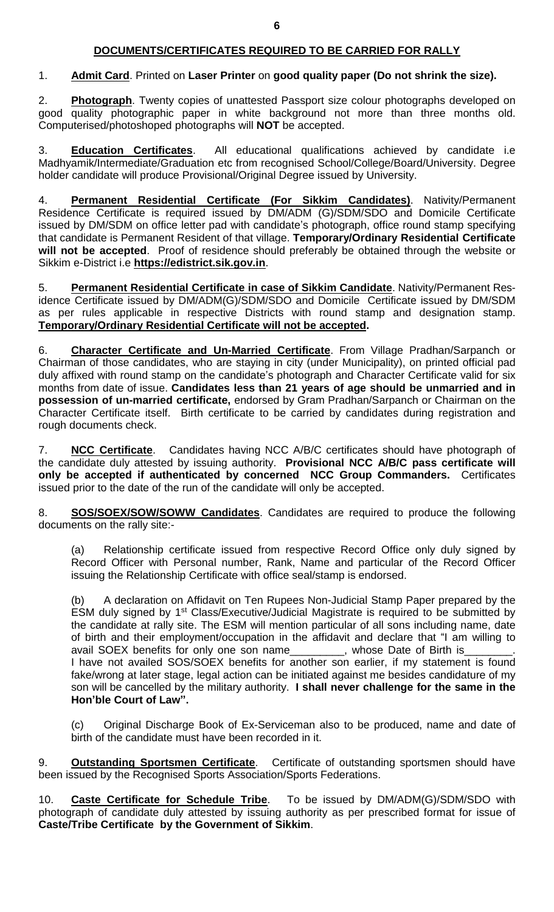#### **DOCUMENTS/CERTIFICATES REQUIRED TO BE CARRIED FOR RALLY**

#### 1. **Admit Card**. Printed on **Laser Printer** on **good quality paper (Do not shrink the size).**

2. **Photograph**. Twenty copies of unattested Passport size colour photographs developed on good quality photographic paper in white background not more than three months old. Computerised/photoshoped photographs will **NOT** be accepted.

3. **Education Certificates**. All educational qualifications achieved by candidate i.e Madhyamik/Intermediate/Graduation etc from recognised School/College/Board/University. Degree holder candidate will produce Provisional/Original Degree issued by University.

4. **Permanent Residential Certificate (For Sikkim Candidates)**. Nativity/Permanent Residence Certificate is required issued by DM/ADM (G)/SDM/SDO and Domicile Certificate issued by DM/SDM on office letter pad with candidate's photograph, office round stamp specifying that candidate is Permanent Resident of that village. **Temporary/Ordinary Residential Certificate will not be accepted**. Proof of residence should preferably be obtained through the website or Sikkim e-District i.e **[https://edistrict.sik.gov.in](https://edistrict.sik.gov.in/)**.

5. **Permanent Residential Certificate in case of Sikkim Candidate**. Nativity/Permanent Residence Certificate issued by DM/ADM(G)/SDM/SDO and Domicile Certificate issued by DM/SDM as per rules applicable in respective Districts with round stamp and designation stamp. **Temporary/Ordinary Residential Certificate will not be accepted.**

6. **Character Certificate and Un-Married Certificate**. From Village Pradhan/Sarpanch or Chairman of those candidates, who are staying in city (under Municipality), on printed official pad duly affixed with round stamp on the candidate's photograph and Character Certificate valid for six months from date of issue. **Candidates less than 21 years of age should be unmarried and in possession of un-married certificate,** endorsed by Gram Pradhan/Sarpanch or Chairman on the Character Certificate itself. Birth certificate to be carried by candidates during registration and rough documents check.

7. **NCC Certificate**. Candidates having NCC A/B/C certificates should have photograph of the candidate duly attested by issuing authority. **Provisional NCC A/B/C pass certificate will only be accepted if authenticated by concerned NCC Group Commanders.** Certificates issued prior to the date of the run of the candidate will only be accepted.

8. **SOS/SOEX/SOW/SOWW Candidates**. Candidates are required to produce the following documents on the rally site:-

(a) Relationship certificate issued from respective Record Office only duly signed by Record Officer with Personal number, Rank, Name and particular of the Record Officer issuing the Relationship Certificate with office seal/stamp is endorsed.

(b) A declaration on Affidavit on Ten Rupees Non-Judicial Stamp Paper prepared by the ESM duly signed by 1<sup>st</sup> Class/Executive/Judicial Magistrate is required to be submitted by the candidate at rally site. The ESM will mention particular of all sons including name, date of birth and their employment/occupation in the affidavit and declare that "I am willing to avail SOEX benefits for only one son name\_\_\_\_\_\_\_\_, whose Date of Birth is I have not availed SOS/SOEX benefits for another son earlier, if my statement is found fake/wrong at later stage, legal action can be initiated against me besides candidature of my son will be cancelled by the military authority. **I shall never challenge for the same in the Hon'ble Court of Law".**

(c) Original Discharge Book of Ex-Serviceman also to be produced, name and date of birth of the candidate must have been recorded in it.

9. **Outstanding Sportsmen Certificate**. Certificate of outstanding sportsmen should have been issued by the Recognised Sports Association/Sports Federations.

10. **Caste Certificate for Schedule Tribe**. To be issued by DM/ADM(G)/SDM/SDO with photograph of candidate duly attested by issuing authority as per prescribed format for issue of **Caste/Tribe Certificate by the Government of Sikkim**.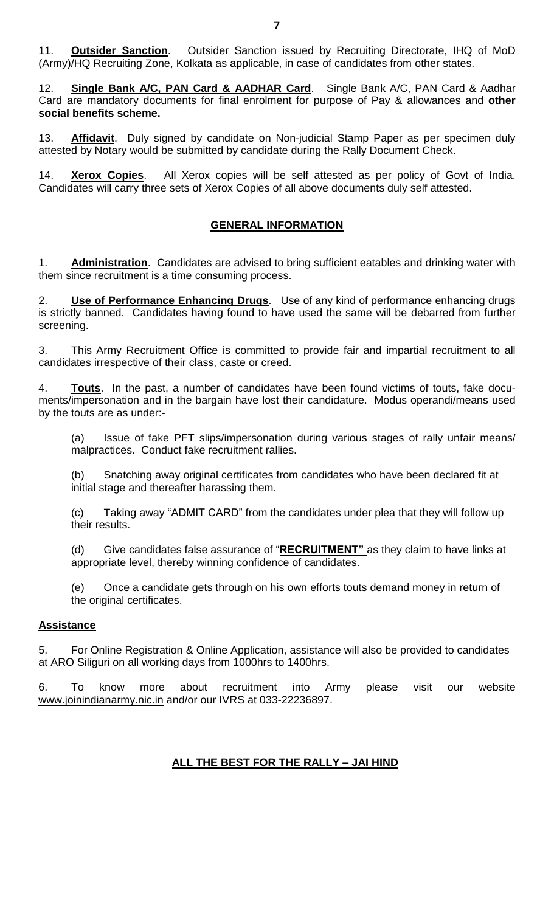11. **Outsider Sanction**. Outsider Sanction issued by Recruiting Directorate, IHQ of MoD (Army)/HQ Recruiting Zone, Kolkata as applicable, in case of candidates from other states.

12. **Single Bank A/C, PAN Card & AADHAR Card**. Single Bank A/C, PAN Card & Aadhar Card are mandatory documents for final enrolment for purpose of Pay & allowances and **other social benefits scheme.**

13. **Affidavit**. Duly signed by candidate on Non-judicial Stamp Paper as per specimen duly attested by Notary would be submitted by candidate during the Rally Document Check.

14. **Xerox Copies**. All Xerox copies will be self attested as per policy of Govt of India. Candidates will carry three sets of Xerox Copies of all above documents duly self attested.

#### **GENERAL INFORMATION**

1. **Administration**. Candidates are advised to bring sufficient eatables and drinking water with them since recruitment is a time consuming process.

2. **Use of Performance Enhancing Drugs**. Use of any kind of performance enhancing drugs is strictly banned. Candidates having found to have used the same will be debarred from further screening.

3. This Army Recruitment Office is committed to provide fair and impartial recruitment to all candidates irrespective of their class, caste or creed.

4. **Touts**. In the past, a number of candidates have been found victims of touts, fake documents/impersonation and in the bargain have lost their candidature. Modus operandi/means used by the touts are as under:-

(a) Issue of fake PFT slips/impersonation during various stages of rally unfair means/ malpractices. Conduct fake recruitment rallies.

(b) Snatching away original certificates from candidates who have been declared fit at initial stage and thereafter harassing them.

(c) Taking away "ADMIT CARD" from the candidates under plea that they will follow up their results.

(d) Give candidates false assurance of "**RECRUITMENT"** as they claim to have links at appropriate level, thereby winning confidence of candidates.

(e) Once a candidate gets through on his own efforts touts demand money in return of the original certificates.

#### **Assistance**

5. For Online Registration & Online Application, assistance will also be provided to candidates at ARO Siliguri on all working days from 1000hrs to 1400hrs.

6. To know more about recruitment into Army please visit our website [www.joinindianarmy.nic.in](http://www.joinindianarmy.nic.in/) and/or our IVRS at 033-22236897.

#### **ALL THE BEST FOR THE RALLY – JAI HIND**